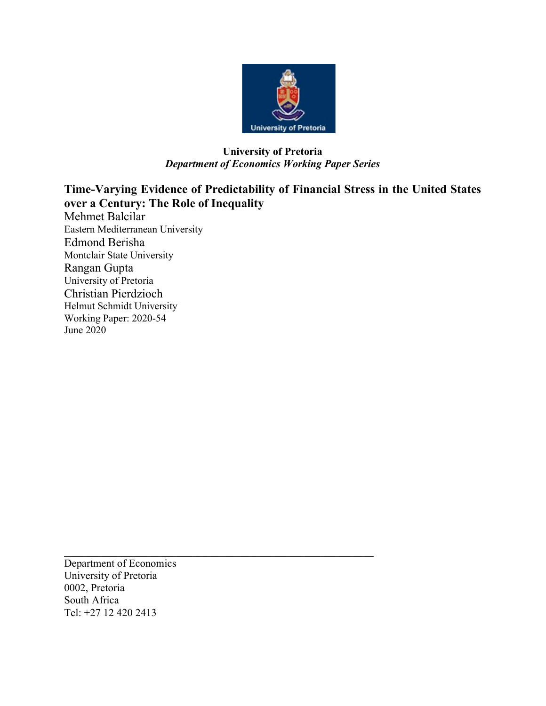

# University of Pretoria Department of Economics Working Paper Series

Time-Varying Evidence of Predictability of Financial Stress in the United States over a Century: The Role of Inequality Mehmet Balcilar Eastern Mediterranean University Edmond Berisha Montclair State University Rangan Gupta University of Pretoria Christian Pierdzioch Helmut Schmidt University Working Paper: 2020-54 June 2020

Department of Economics University of Pretoria 0002, Pretoria South Africa Tel: +27 12 420 2413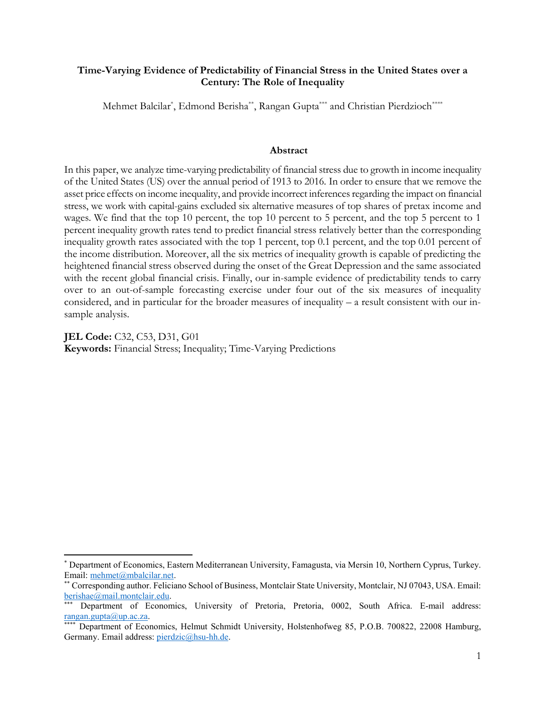## Time-Varying Evidence of Predictability of Financial Stress in the United States over a Century: The Role of Inequality

Mehmet Balcilar\* , Edmond Berisha\*\*, Rangan Gupta\*\*\* and Christian Pierdzioch\*\*\*\*

#### Abstract

In this paper, we analyze time-varying predictability of financial stress due to growth in income inequality of the United States (US) over the annual period of 1913 to 2016. In order to ensure that we remove the asset price effects on income inequality, and provide incorrect inferences regarding the impact on financial stress, we work with capital-gains excluded six alternative measures of top shares of pretax income and wages. We find that the top 10 percent, the top 10 percent to 5 percent, and the top 5 percent to 1 percent inequality growth rates tend to predict financial stress relatively better than the corresponding inequality growth rates associated with the top 1 percent, top 0.1 percent, and the top 0.01 percent of the income distribution. Moreover, all the six metrics of inequality growth is capable of predicting the heightened financial stress observed during the onset of the Great Depression and the same associated with the recent global financial crisis. Finally, our in-sample evidence of predictability tends to carry over to an out-of-sample forecasting exercise under four out of the six measures of inequality considered, and in particular for the broader measures of inequality – a result consistent with our insample analysis.

JEL Code: C32, C53, D31, G01 Keywords: Financial Stress; Inequality; Time-Varying Predictions

 $\overline{a}$ 

<sup>\*</sup> Department of Economics, Eastern Mediterranean University, Famagusta, via Mersin 10, Northern Cyprus, Turkey. Email: mehmet@mbalcilar.net.

<sup>\*\*</sup> Corresponding author. Feliciano School of Business, Montclair State University, Montclair, NJ 07043, USA. Email: berishae@mail.montclair.edu.

Department of Economics, University of Pretoria, Pretoria, 0002, South Africa. E-mail address: rangan.gupta@up.ac.za.

Department of Economics, Helmut Schmidt University, Holstenhofweg 85, P.O.B. 700822, 22008 Hamburg, Germany. Email address: pierdzic@hsu-hh.de.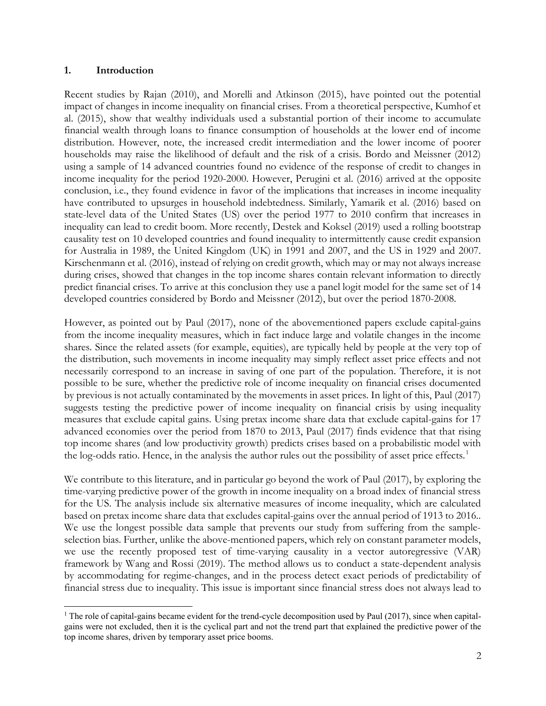### 1. Introduction

Recent studies by Rajan (2010), and Morelli and Atkinson (2015), have pointed out the potential impact of changes in income inequality on financial crises. From a theoretical perspective, Kumhof et al. (2015), show that wealthy individuals used a substantial portion of their income to accumulate financial wealth through loans to finance consumption of households at the lower end of income distribution. However, note, the increased credit intermediation and the lower income of poorer households may raise the likelihood of default and the risk of a crisis. Bordo and Meissner (2012) using a sample of 14 advanced countries found no evidence of the response of credit to changes in income inequality for the period 1920-2000. However, Perugini et al. (2016) arrived at the opposite conclusion, i.e., they found evidence in favor of the implications that increases in income inequality have contributed to upsurges in household indebtedness. Similarly, Yamarik et al. (2016) based on state-level data of the United States (US) over the period 1977 to 2010 confirm that increases in inequality can lead to credit boom. More recently, Destek and Koksel (2019) used a rolling bootstrap causality test on 10 developed countries and found inequality to intermittently cause credit expansion for Australia in 1989, the United Kingdom (UK) in 1991 and 2007, and the US in 1929 and 2007. Kirschenmann et al. (2016), instead of relying on credit growth, which may or may not always increase during crises, showed that changes in the top income shares contain relevant information to directly predict financial crises. To arrive at this conclusion they use a panel logit model for the same set of 14 developed countries considered by Bordo and Meissner (2012), but over the period 1870-2008.

However, as pointed out by Paul (2017), none of the abovementioned papers exclude capital-gains from the income inequality measures, which in fact induce large and volatile changes in the income shares. Since the related assets (for example, equities), are typically held by people at the very top of the distribution, such movements in income inequality may simply reflect asset price effects and not necessarily correspond to an increase in saving of one part of the population. Therefore, it is not possible to be sure, whether the predictive role of income inequality on financial crises documented by previous is not actually contaminated by the movements in asset prices. In light of this, Paul (2017) suggests testing the predictive power of income inequality on financial crisis by using inequality measures that exclude capital gains. Using pretax income share data that exclude capital-gains for 17 advanced economies over the period from 1870 to 2013, Paul (2017) finds evidence that that rising top income shares (and low productivity growth) predicts crises based on a probabilistic model with the log-odds ratio. Hence, in the analysis the author rules out the possibility of asset price effects.<sup>1</sup>

We contribute to this literature, and in particular go beyond the work of Paul (2017), by exploring the time-varying predictive power of the growth in income inequality on a broad index of financial stress for the US. The analysis include six alternative measures of income inequality, which are calculated based on pretax income share data that excludes capital-gains over the annual period of 1913 to 2016.. We use the longest possible data sample that prevents our study from suffering from the sampleselection bias. Further, unlike the above-mentioned papers, which rely on constant parameter models, we use the recently proposed test of time-varying causality in a vector autoregressive (VAR) framework by Wang and Rossi (2019). The method allows us to conduct a state-dependent analysis by accommodating for regime-changes, and in the process detect exact periods of predictability of financial stress due to inequality. This issue is important since financial stress does not always lead to

 <sup>1</sup> The role of capital-gains became evident for the trend-cycle decomposition used by Paul (2017), since when capitalgains were not excluded, then it is the cyclical part and not the trend part that explained the predictive power of the top income shares, driven by temporary asset price booms.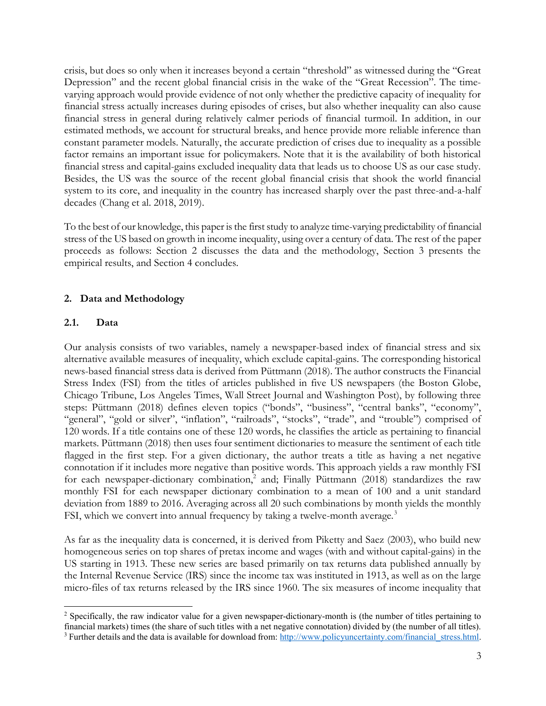crisis, but does so only when it increases beyond a certain "threshold" as witnessed during the "Great Depression" and the recent global financial crisis in the wake of the "Great Recession". The timevarying approach would provide evidence of not only whether the predictive capacity of inequality for financial stress actually increases during episodes of crises, but also whether inequality can also cause financial stress in general during relatively calmer periods of financial turmoil. In addition, in our estimated methods, we account for structural breaks, and hence provide more reliable inference than constant parameter models. Naturally, the accurate prediction of crises due to inequality as a possible factor remains an important issue for policymakers. Note that it is the availability of both historical financial stress and capital-gains excluded inequality data that leads us to choose US as our case study. Besides, the US was the source of the recent global financial crisis that shook the world financial system to its core, and inequality in the country has increased sharply over the past three-and-a-half decades (Chang et al. 2018, 2019).

To the best of our knowledge, this paper is the first study to analyze time-varying predictability of financial stress of the US based on growth in income inequality, using over a century of data. The rest of the paper proceeds as follows: Section 2 discusses the data and the methodology, Section 3 presents the empirical results, and Section 4 concludes.

## 2. Data and Methodology

### 2.1. Data

Our analysis consists of two variables, namely a newspaper-based index of financial stress and six alternative available measures of inequality, which exclude capital-gains. The corresponding historical news-based financial stress data is derived from Püttmann (2018). The author constructs the Financial Stress Index (FSI) from the titles of articles published in five US newspapers (the Boston Globe, Chicago Tribune, Los Angeles Times, Wall Street Journal and Washington Post), by following three steps: Püttmann (2018) defines eleven topics ("bonds", "business", "central banks", "economy", "general", "gold or silver", "inflation", "railroads", "stocks", "trade", and "trouble") comprised of 120 words. If a title contains one of these 120 words, he classifies the article as pertaining to financial markets. Püttmann (2018) then uses four sentiment dictionaries to measure the sentiment of each title flagged in the first step. For a given dictionary, the author treats a title as having a net negative connotation if it includes more negative than positive words. This approach yields a raw monthly FSI for each newspaper-dictionary combination,<sup>2</sup> and; Finally Püttmann (2018) standardizes the raw monthly FSI for each newspaper dictionary combination to a mean of 100 and a unit standard deviation from 1889 to 2016. Averaging across all 20 such combinations by month yields the monthly FSI, which we convert into annual frequency by taking a twelve-month average.<sup>3</sup>

As far as the inequality data is concerned, it is derived from Piketty and Saez (2003), who build new homogeneous series on top shares of pretax income and wages (with and without capital-gains) in the US starting in 1913. These new series are based primarily on tax returns data published annually by the Internal Revenue Service (IRS) since the income tax was instituted in 1913, as well as on the large micro-files of tax returns released by the IRS since 1960. The six measures of income inequality that

<sup>&</sup>lt;sup>2</sup> Specifically, the raw indicator value for a given newspaper-dictionary-month is (the number of titles pertaining to financial markets) times (the share of such titles with a net negative connotation) divided by (the number of all titles). <sup>3</sup> Further details and the data is available for download from:  $\frac{http://www.policyuncertainty.com/financial stress.html}$ .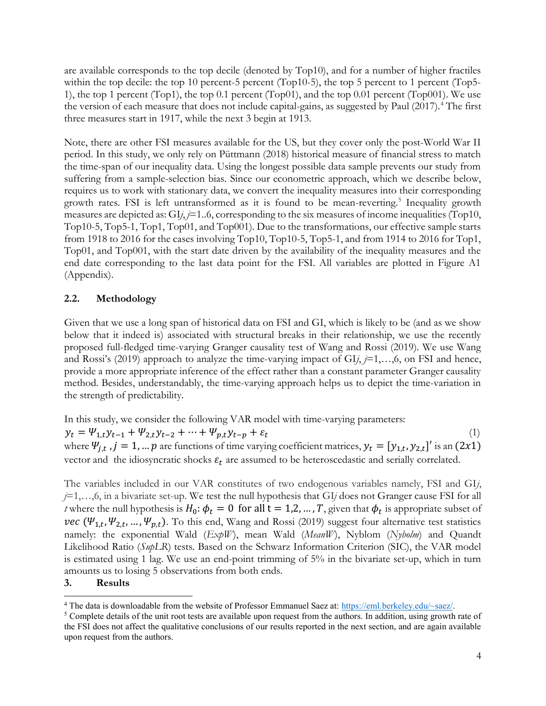are available corresponds to the top decile (denoted by Top10), and for a number of higher fractiles within the top decile: the top 10 percent-5 percent (Top10-5), the top 5 percent to 1 percent (Top5-1), the top 1 percent (Top1), the top 0.1 percent (Top01), and the top 0.01 percent (Top001). We use the version of each measure that does not include capital-gains, as suggested by Paul (2017).<sup>4</sup> The first three measures start in 1917, while the next 3 begin at 1913.

Note, there are other FSI measures available for the US, but they cover only the post-World War II period. In this study, we only rely on Püttmann (2018) historical measure of financial stress to match the time-span of our inequality data. Using the longest possible data sample prevents our study from suffering from a sample-selection bias. Since our econometric approach, which we describe below, requires us to work with stationary data, we convert the inequality measures into their corresponding growth rates. FSI is left untransformed as it is found to be mean-reverting.<sup>5</sup> Inequality growth measures are depicted as:  $GI<sub>j</sub>$ ,  $j=1..6$ , corresponding to the six measures of income inequalities (Top10, Top10-5, Top5-1, Top1, Top01, and Top001). Due to the transformations, our effective sample starts from 1918 to 2016 for the cases involving Top10, Top10-5, Top5-1, and from 1914 to 2016 for Top1, Top01, and Top001, with the start date driven by the availability of the inequality measures and the end date corresponding to the last data point for the FSI. All variables are plotted in Figure A1 (Appendix).

## 2.2. Methodology

Given that we use a long span of historical data on FSI and GI, which is likely to be (and as we show below that it indeed is) associated with structural breaks in their relationship, we use the recently proposed full-fledged time-varying Granger causality test of Wang and Rossi (2019). We use Wang and Rossi's (2019) approach to analyze the time-varying impact of  $GI<sub>j</sub>$  =1,...,6, on FSI and hence, provide a more appropriate inference of the effect rather than a constant parameter Granger causality method. Besides, understandably, the time-varying approach helps us to depict the time-variation in the strength of predictability.

In this study, we consider the following VAR model with time-varying parameters:  $y_t = \Psi_{1,t} y_{t-1} + \Psi_{2,t} y_{t-2} + \cdots + \Psi_{p,t} y_{t-p} + \varepsilon_t$  (1) where  $\Psi_{j,t}$ ,  $j = 1, ... p$  are functions of time varying coefficient matrices,  $y_t = [y_{1,t}, y_{2,t}]'$  is an  $(2x1)$ vector and the idiosyncratic shocks  $\varepsilon_t$  are assumed to be heteroscedastic and serially correlated.

The variables included in our VAR constitutes of two endogenous variables namely, FSI and GIj,  $j=1,\ldots,6$ , in a bivariate set-up. We test the null hypothesis that GI $j$  does not Granger cause FSI for all *t* where the null hypothesis is  $H_0: \phi_t = 0$  for all  $t = 1, 2, ..., T$ , given that  $\phi_t$  is appropriate subset of vec  $(\Psi_{1,t}, \Psi_{2,t}, ..., \Psi_{p,t})$ . To this end, Wang and Rossi (2019) suggest four alternative test statistics namely: the exponential Wald  $(ExpW)$ , mean Wald  $(MeanW)$ , Nyblom  $(Nybolm)$  and Quandt Likelihood Ratio (SupLR) tests. Based on the Schwarz Information Criterion (SIC), the VAR model is estimated using 1 lag. We use an end-point trimming of 5% in the bivariate set-up, which in turn amounts us to losing 5 observations from both ends.

### 3. Results

 <sup>4</sup> The data is downloadable from the website of Professor Emmanuel Saez at: https://eml.berkeley.edu/~saez/.

<sup>&</sup>lt;sup>5</sup> Complete details of the unit root tests are available upon request from the authors. In addition, using growth rate of the FSI does not affect the qualitative conclusions of our results reported in the next section, and are again available upon request from the authors.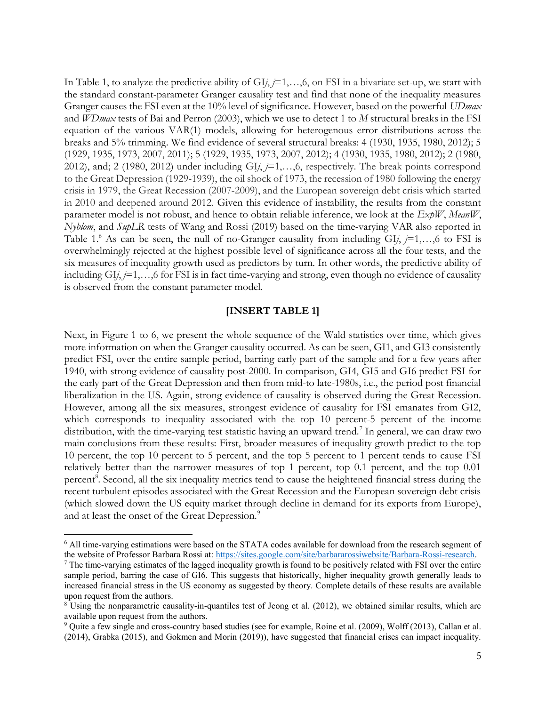In Table 1, to analyze the predictive ability of  $GI$ ,  $j=1,...,6$ , on FSI in a bivariate set-up, we start with the standard constant-parameter Granger causality test and find that none of the inequality measures Granger causes the FSI even at the 10% level of significance. However, based on the powerful UDmax and  $WD$ max tests of Bai and Perron (2003), which we use to detect 1 to  $M$  structural breaks in the FSI equation of the various VAR(1) models, allowing for heterogenous error distributions across the breaks and 5% trimming. We find evidence of several structural breaks: 4 (1930, 1935, 1980, 2012); 5 (1929, 1935, 1973, 2007, 2011); 5 (1929, 1935, 1973, 2007, 2012); 4 (1930, 1935, 1980, 2012); 2 (1980, 2012), and; 2 (1980, 2012) under including  $GI<sub>i</sub>$ ,  $j=1,...,6$ , respectively. The break points correspond to the Great Depression (1929-1939), the oil shock of 1973, the recession of 1980 following the energy crisis in 1979, the Great Recession (2007-2009), and the European sovereign debt crisis which started in 2010 and deepened around 2012. Given this evidence of instability, the results from the constant parameter model is not robust, and hence to obtain reliable inference, we look at the  $ExpW$ , MeanW, Nyblom, and SupLR tests of Wang and Rossi (2019) based on the time-varying VAR also reported in Table 1.<sup>6</sup> As can be seen, the null of no-Granger causality from including  $GIj, j=1,...,6$  to FSI is overwhelmingly rejected at the highest possible level of significance across all the four tests, and the six measures of inequality growth used as predictors by turn. In other words, the predictive ability of including  $GI$ *i*,  $j=1,...,6$  for FSI is in fact time-varying and strong, even though no evidence of causality is observed from the constant parameter model.

### [INSERT TABLE 1]

Next, in Figure 1 to 6, we present the whole sequence of the Wald statistics over time, which gives more information on when the Granger causality occurred. As can be seen, GI1, and GI3 consistently predict FSI, over the entire sample period, barring early part of the sample and for a few years after 1940, with strong evidence of causality post-2000. In comparison, GI4, GI5 and GI6 predict FSI for the early part of the Great Depression and then from mid-to late-1980s, i.e., the period post financial liberalization in the US. Again, strong evidence of causality is observed during the Great Recession. However, among all the six measures, strongest evidence of causality for FSI emanates from GI2, which corresponds to inequality associated with the top 10 percent-5 percent of the income distribution, with the time-varying test statistic having an upward trend.<sup>7</sup> In general, we can draw two main conclusions from these results: First, broader measures of inequality growth predict to the top 10 percent, the top 10 percent to 5 percent, and the top 5 percent to 1 percent tends to cause FSI relatively better than the narrower measures of top 1 percent, top 0.1 percent, and the top 0.01 percent<sup>8</sup>. Second, all the six inequality metrics tend to cause the heightened financial stress during the recent turbulent episodes associated with the Great Recession and the European sovereign debt crisis (which slowed down the US equity market through decline in demand for its exports from Europe), and at least the onset of the Great Depression.<sup>9</sup>

<sup>&</sup>lt;sup>6</sup> All time-varying estimations were based on the STATA codes available for download from the research segment of the website of Professor Barbara Rossi at: https://sites.google.com/site/barbararossiwebsite/Barbara-Rossi-research.

 $7$  The time-varying estimates of the lagged inequality growth is found to be positively related with FSI over the entire sample period, barring the case of GI6. This suggests that historically, higher inequality growth generally leads to increased financial stress in the US economy as suggested by theory. Complete details of these results are available upon request from the authors.

 $8$  Using the nonparametric causality-in-quantiles test of Jeong et al. (2012), we obtained similar results, which are available upon request from the authors.

<sup>&</sup>lt;sup>9</sup> Quite a few single and cross-country based studies (see for example, Roine et al. (2009), Wolff (2013), Callan et al. (2014), Grabka (2015), and Gokmen and Morin (2019)), have suggested that financial crises can impact inequality.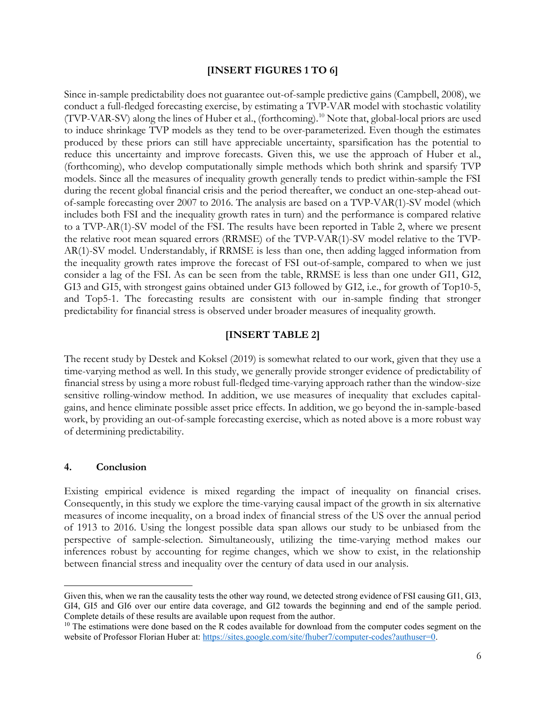### [INSERT FIGURES 1 TO 6]

Since in-sample predictability does not guarantee out-of-sample predictive gains (Campbell, 2008), we conduct a full-fledged forecasting exercise, by estimating a TVP-VAR model with stochastic volatility (TVP-VAR-SV) along the lines of Huber et al., (forthcoming).<sup>10</sup> Note that, global-local priors are used to induce shrinkage TVP models as they tend to be over-parameterized. Even though the estimates produced by these priors can still have appreciable uncertainty, sparsification has the potential to reduce this uncertainty and improve forecasts. Given this, we use the approach of Huber et al., (forthcoming), who develop computationally simple methods which both shrink and sparsify TVP models. Since all the measures of inequality growth generally tends to predict within-sample the FSI during the recent global financial crisis and the period thereafter, we conduct an one-step-ahead outof-sample forecasting over 2007 to 2016. The analysis are based on a TVP-VAR(1)-SV model (which includes both FSI and the inequality growth rates in turn) and the performance is compared relative to a TVP-AR(1)-SV model of the FSI. The results have been reported in Table 2, where we present the relative root mean squared errors (RRMSE) of the TVP-VAR(1)-SV model relative to the TVP-AR(1)-SV model. Understandably, if RRMSE is less than one, then adding lagged information from the inequality growth rates improve the forecast of FSI out-of-sample, compared to when we just consider a lag of the FSI. As can be seen from the table, RRMSE is less than one under GI1, GI2, GI3 and GI5, with strongest gains obtained under GI3 followed by GI2, i.e., for growth of Top10-5, and Top5-1. The forecasting results are consistent with our in-sample finding that stronger predictability for financial stress is observed under broader measures of inequality growth.

### [INSERT TABLE 2]

The recent study by Destek and Koksel (2019) is somewhat related to our work, given that they use a time-varying method as well. In this study, we generally provide stronger evidence of predictability of financial stress by using a more robust full-fledged time-varying approach rather than the window-size sensitive rolling-window method. In addition, we use measures of inequality that excludes capitalgains, and hence eliminate possible asset price effects. In addition, we go beyond the in-sample-based work, by providing an out-of-sample forecasting exercise, which as noted above is a more robust way of determining predictability.

#### 4. Conclusion

 $\overline{a}$ 

Existing empirical evidence is mixed regarding the impact of inequality on financial crises. Consequently, in this study we explore the time-varying causal impact of the growth in six alternative measures of income inequality, on a broad index of financial stress of the US over the annual period of 1913 to 2016. Using the longest possible data span allows our study to be unbiased from the perspective of sample-selection. Simultaneously, utilizing the time-varying method makes our inferences robust by accounting for regime changes, which we show to exist, in the relationship between financial stress and inequality over the century of data used in our analysis.

Given this, when we ran the causality tests the other way round, we detected strong evidence of FSI causing GI1, GI3, GI4, GI5 and GI6 over our entire data coverage, and GI2 towards the beginning and end of the sample period. Complete details of these results are available upon request from the author.

 $10$  The estimations were done based on the R codes available for download from the computer codes segment on the website of Professor Florian Huber at: https://sites.google.com/site/fhuber7/computer-codes?authuser=0.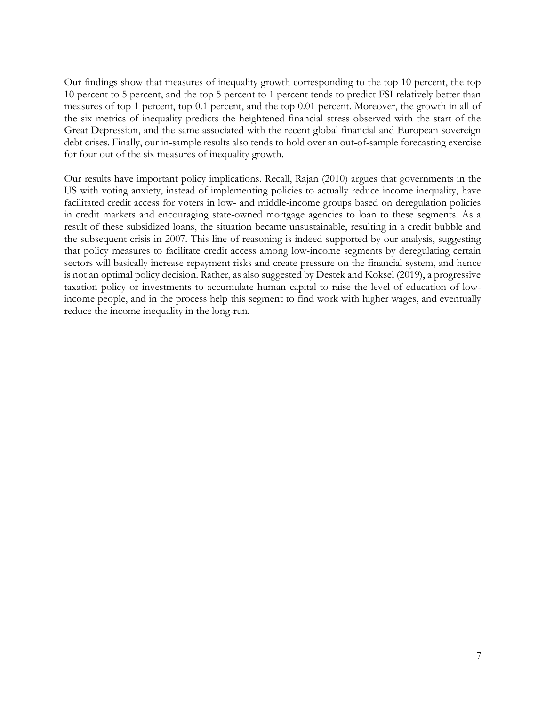Our findings show that measures of inequality growth corresponding to the top 10 percent, the top 10 percent to 5 percent, and the top 5 percent to 1 percent tends to predict FSI relatively better than measures of top 1 percent, top 0.1 percent, and the top 0.01 percent. Moreover, the growth in all of the six metrics of inequality predicts the heightened financial stress observed with the start of the Great Depression, and the same associated with the recent global financial and European sovereign debt crises. Finally, our in-sample results also tends to hold over an out-of-sample forecasting exercise for four out of the six measures of inequality growth.

Our results have important policy implications. Recall, Rajan (2010) argues that governments in the US with voting anxiety, instead of implementing policies to actually reduce income inequality, have facilitated credit access for voters in low- and middle-income groups based on deregulation policies in credit markets and encouraging state-owned mortgage agencies to loan to these segments. As a result of these subsidized loans, the situation became unsustainable, resulting in a credit bubble and the subsequent crisis in 2007. This line of reasoning is indeed supported by our analysis, suggesting that policy measures to facilitate credit access among low-income segments by deregulating certain sectors will basically increase repayment risks and create pressure on the financial system, and hence is not an optimal policy decision. Rather, as also suggested by Destek and Koksel (2019), a progressive taxation policy or investments to accumulate human capital to raise the level of education of lowincome people, and in the process help this segment to find work with higher wages, and eventually reduce the income inequality in the long-run.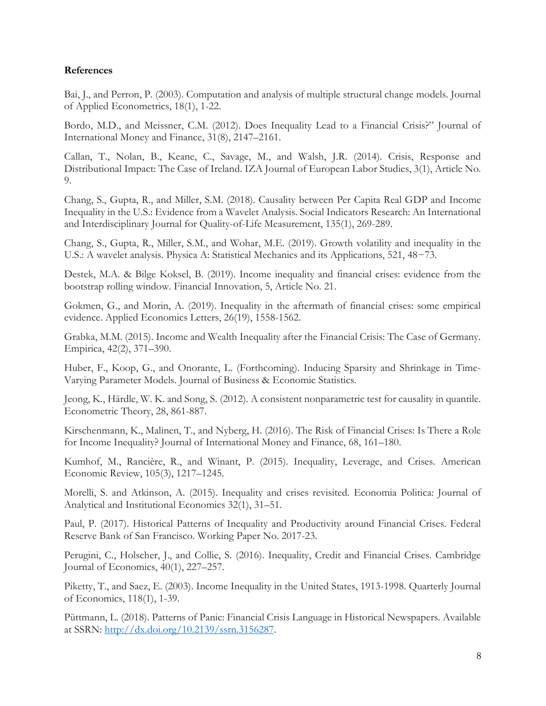### References

Bai, J., and Perron, P. (2003). Computation and analysis of multiple structural change models. Journal of Applied Econometrics, 18(1), 1-22.

Bordo, M.D., and Meissner, C.M. (2012). Does Inequality Lead to a Financial Crisis?" Journal of International Money and Finance, 31(8), 2147–2161.

Callan, T., Nolan, B., Keane, C., Savage, M., and Walsh, J.R. (2014). Crisis, Response and Distributional Impact: The Case of Ireland. IZA Journal of European Labor Studies, 3(1), Article No. 9.

Chang, S., Gupta, R., and Miller, S.M. (2018). Causality between Per Capita Real GDP and Income Inequality in the U.S.: Evidence from a Wavelet Analysis. Social Indicators Research: An International and Interdisciplinary Journal for Quality-of-Life Measurement, 135(1), 269-289.

Chang, S., Gupta, R., Miller, S.M., and Wohar, M.E. (2019). Growth volatility and inequality in the U.S.: A wavelet analysis. Physica A: Statistical Mechanics and its Applications, 521, 48−73.

Destek, M.A. & Bilge Koksel, B. (2019). Income inequality and financial crises: evidence from the bootstrap rolling window. Financial Innovation, 5, Article No. 21.

Gokmen, G., and Morin, A. (2019). Inequality in the aftermath of financial crises: some empirical evidence. Applied Economics Letters, 26(19), 1558-1562.

Grabka, M.M. (2015). Income and Wealth Inequality after the Financial Crisis: The Case of Germany. Empirica, 42(2), 371–390.

Huber, F., Koop, G., and Onorante, L. (Forthcoming). Inducing Sparsity and Shrinkage in Time-Varying Parameter Models. Journal of Business & Economic Statistics.

Jeong, K., Härdle, W. K. and Song, S. (2012). A consistent nonparametric test for causality in quantile. Econometric Theory, 28, 861-887.

Kirschenmann, K., Malinen, T., and Nyberg, H. (2016). The Risk of Financial Crises: Is There a Role for Income Inequality? Journal of International Money and Finance, 68, 161–180.

Kumhof, M., Rancière, R., and Winant, P. (2015). Inequality, Leverage, and Crises. American Economic Review, 105(3), 1217–1245.

Morelli, S. and Atkinson, A. (2015). Inequality and crises revisited. Economia Politica: Journal of Analytical and Institutional Economics 32(1), 31–51.

Paul, P. (2017). Historical Patterns of Inequality and Productivity around Financial Crises. Federal Reserve Bank of San Francisco. Working Paper No. 2017-23.

Perugini, C., Holscher, J., and Collie, S. (2016). Inequality, Credit and Financial Crises. Cambridge Journal of Economics, 40(1), 227–257.

Piketty, T., and Saez, E. (2003). Income Inequality in the United States, 1913-1998. Quarterly Journal of Economics, 118(1), 1-39.

Püttmann, L. (2018). Patterns of Panic: Financial Crisis Language in Historical Newspapers. Available at SSRN: http://dx.doi.org/10.2139/ssrn.3156287.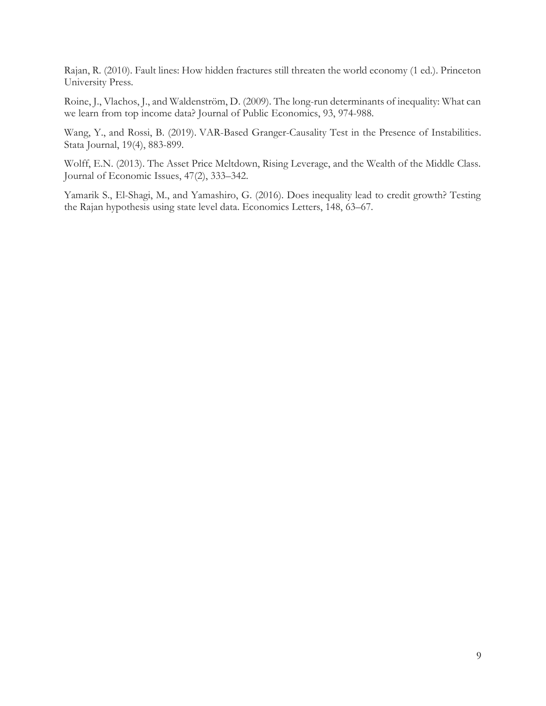Rajan, R. (2010). Fault lines: How hidden fractures still threaten the world economy (1 ed.). Princeton University Press.

Roine, J., Vlachos, J., and Waldenström, D. (2009). The long-run determinants of inequality: What can we learn from top income data? Journal of Public Economics, 93, 974-988.

Wang, Y., and Rossi, B. (2019). VAR-Based Granger-Causality Test in the Presence of Instabilities. Stata Journal, 19(4), 883-899.

Wolff, E.N. (2013). The Asset Price Meltdown, Rising Leverage, and the Wealth of the Middle Class. Journal of Economic Issues, 47(2), 333–342.

Yamarik S., El-Shagi, M., and Yamashiro, G. (2016). Does inequality lead to credit growth? Testing the Rajan hypothesis using state level data. Economics Letters, 148, 63–67.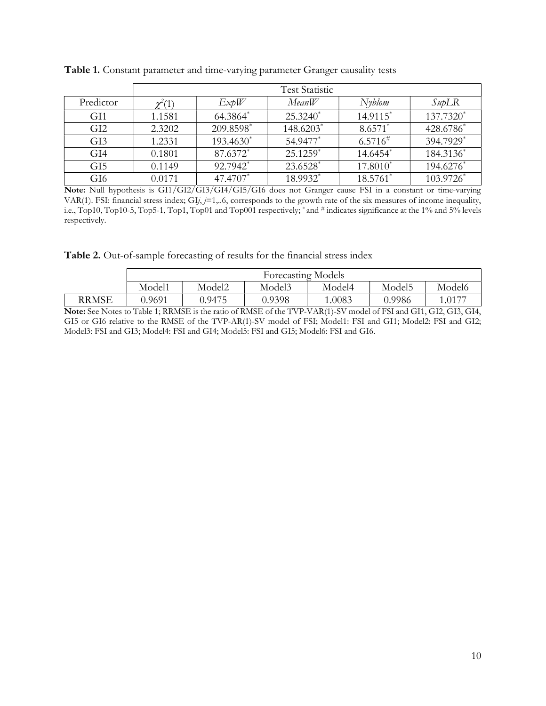|                 | <b>Test Statistic</b> |           |            |              |                    |  |  |  |
|-----------------|-----------------------|-----------|------------|--------------|--------------------|--|--|--|
| Predictor       | $\chi^2(1)$           | ExplV     | MeanW      | Nyblom       | $S$ <i>up</i> $LR$ |  |  |  |
| GI1             | 1.1581                | 64.3864*  | $25.3240*$ | 14.9115*     | 137.7320*          |  |  |  |
| GI <sub>2</sub> | 2.3202                | 209.8598* | 148.6203*  | $8.6571*$    | 428.6786*          |  |  |  |
| GI3             | 1.2331                | 193.4630* | 54.9477*   | $6.5716^{#}$ | 394.7929*          |  |  |  |
| GI <sub>4</sub> | 0.1801                | 87.6372*  | $25.1259*$ | 14.6454*     | 184.3136*          |  |  |  |
| GI <sub>5</sub> | 0.1149                | 92.7942*  | 23.6528*   | $17.8010*$   | 194.6276*          |  |  |  |
| GI <sub>6</sub> | 0.0171                | 47.4707*  | 18.9932*   | 18.5761*     | 103.9726*          |  |  |  |

Table 1. Constant parameter and time-varying parameter Granger causality tests

Note: Null hypothesis is GI1/GI2/GI3/GI4/GI5/GI6 does not Granger cause FSI in a constant or time-varying VAR(1). FSI: financial stress index;  $GIj, j=1,..6$ , corresponds to the growth rate of the six measures of income inequality, i.e., Top10, Top10-5, Top5-1, Top1, Top01 and Top001 respectively; \* and # indicates significance at the 1% and 5% levels respectively.

Table 2. Out-of-sample forecasting of results for the financial stress index

|       | <b>Forecasting Models</b> |        |        |        |        |        |  |  |
|-------|---------------------------|--------|--------|--------|--------|--------|--|--|
|       | Model1                    | Model2 | Model3 | Model4 | Model5 | Model6 |  |  |
| RRMSE | 0.9691                    | 0.9475 | 0.9398 | 1.0083 | 0.9986 | .0177  |  |  |

Note: See Notes to Table 1; RRMSE is the ratio of RMSE of the TVP-VAR(1)-SV model of FSI and GI1, GI2, GI3, GI4, GI5 or GI6 relative to the RMSE of the TVP-AR(1)-SV model of FSI; Model1: FSI and GI1; Model2: FSI and GI2; Model3: FSI and GI3; Model4: FSI and GI4; Model5: FSI and GI5; Model6: FSI and GI6.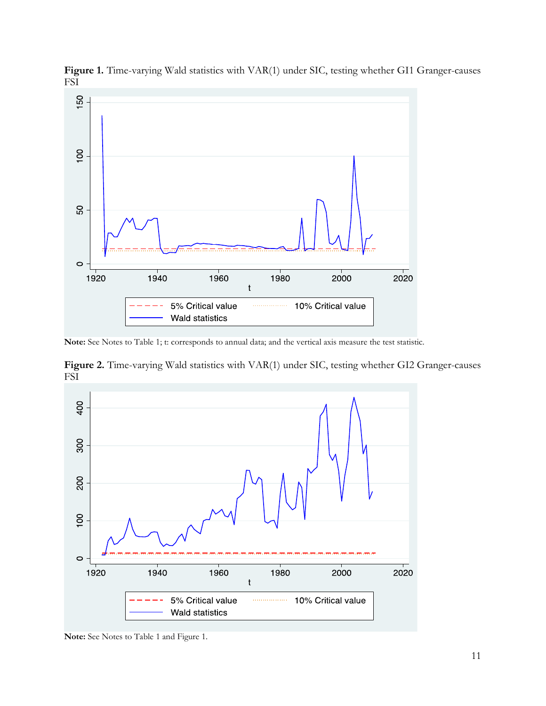

Figure 1. Time-varying Wald statistics with VAR(1) under SIC, testing whether GI1 Granger-causes FSI

Note: See Notes to Table 1; t: corresponds to annual data; and the vertical axis measure the test statistic.

Figure 2. Time-varying Wald statistics with VAR(1) under SIC, testing whether GI2 Granger-causes FSI



Note: See Notes to Table 1 and Figure 1.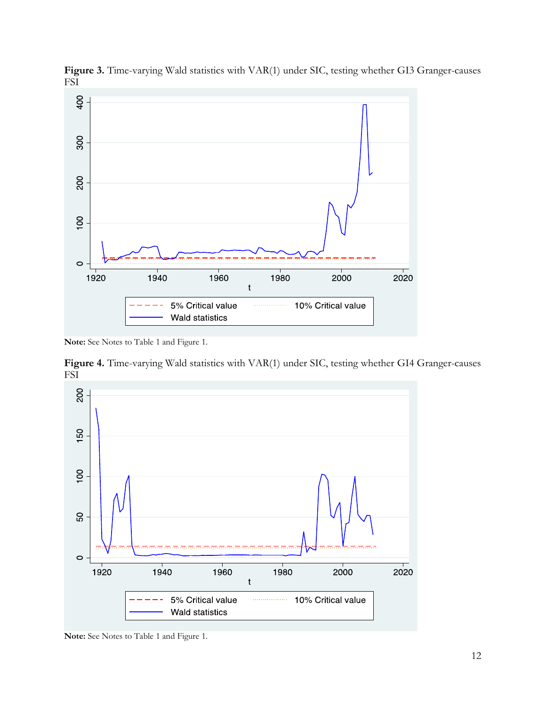

Figure 3. Time-varying Wald statistics with VAR(1) under SIC, testing whether GI3 Granger-causes FSI

Note: See Notes to Table 1 and Figure 1.

Figure 4. Time-varying Wald statistics with VAR(1) under SIC, testing whether GI4 Granger-causes FSI



Note: See Notes to Table 1 and Figure 1.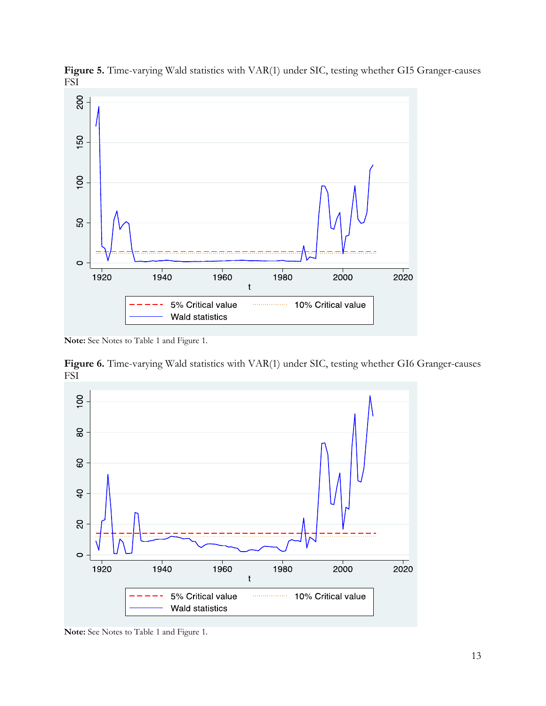

Figure 5. Time-varying Wald statistics with VAR(1) under SIC, testing whether GI5 Granger-causes FSI

Note: See Notes to Table 1 and Figure 1.

Figure 6. Time-varying Wald statistics with VAR(1) under SIC, testing whether GI6 Granger-causes FSI



Note: See Notes to Table 1 and Figure 1.